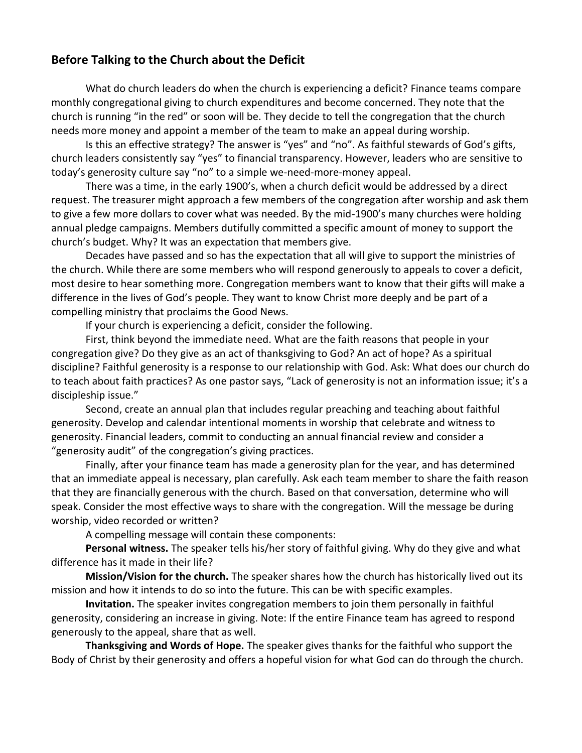## **Before Talking to the Church about the Deficit**

What do church leaders do when the church is experiencing a deficit? Finance teams compare monthly congregational giving to church expenditures and become concerned. They note that the church is running "in the red" or soon will be. They decide to tell the congregation that the church needs more money and appoint a member of the team to make an appeal during worship.

Is this an effective strategy? The answer is "yes" and "no". As faithful stewards of God's gifts, church leaders consistently say "yes" to financial transparency. However, leaders who are sensitive to today's generosity culture say "no" to a simple we-need-more-money appeal.

There was a time, in the early 1900's, when a church deficit would be addressed by a direct request. The treasurer might approach a few members of the congregation after worship and ask them to give a few more dollars to cover what was needed. By the mid-1900's many churches were holding annual pledge campaigns. Members dutifully committed a specific amount of money to support the church's budget. Why? It was an expectation that members give.

Decades have passed and so has the expectation that all will give to support the ministries of the church. While there are some members who will respond generously to appeals to cover a deficit, most desire to hear something more. Congregation members want to know that their gifts will make a difference in the lives of God's people. They want to know Christ more deeply and be part of a compelling ministry that proclaims the Good News.

If your church is experiencing a deficit, consider the following.

First, think beyond the immediate need. What are the faith reasons that people in your congregation give? Do they give as an act of thanksgiving to God? An act of hope? As a spiritual discipline? Faithful generosity is a response to our relationship with God. Ask: What does our church do to teach about faith practices? As one pastor says, "Lack of generosity is not an information issue; it's a discipleship issue."

Second, create an annual plan that includes regular preaching and teaching about faithful generosity. Develop and calendar intentional moments in worship that celebrate and witness to generosity. Financial leaders, commit to conducting an annual financial review and consider a "generosity audit" of the congregation's giving practices.

Finally, after your finance team has made a generosity plan for the year, and has determined that an immediate appeal is necessary, plan carefully. Ask each team member to share the faith reason that they are financially generous with the church. Based on that conversation, determine who will speak. Consider the most effective ways to share with the congregation. Will the message be during worship, video recorded or written?

A compelling message will contain these components:

**Personal witness.** The speaker tells his/her story of faithful giving. Why do they give and what difference has it made in their life?

**Mission/Vision for the church.** The speaker shares how the church has historically lived out its mission and how it intends to do so into the future. This can be with specific examples.

**Invitation.** The speaker invites congregation members to join them personally in faithful generosity, considering an increase in giving. Note: If the entire Finance team has agreed to respond generously to the appeal, share that as well.

**Thanksgiving and Words of Hope.** The speaker gives thanks for the faithful who support the Body of Christ by their generosity and offers a hopeful vision for what God can do through the church.